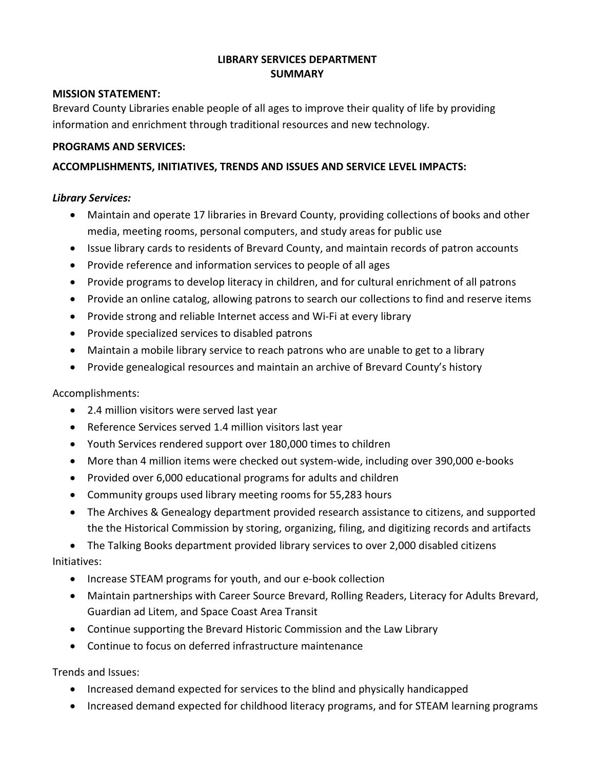## **LIBRARY SERVICES DEPARTMENT SUMMARY**

## **MISSION STATEMENT:**

Brevard County Libraries enable people of all ages to improve their quality of life by providing information and enrichment through traditional resources and new technology.

#### **PROGRAMS AND SERVICES:**

## **ACCOMPLISHMENTS, INITIATIVES, TRENDS AND ISSUES AND SERVICE LEVEL IMPACTS:**

## *Library Services:*

- Maintain and operate 17 libraries in Brevard County, providing collections of books and other media, meeting rooms, personal computers, and study areas for public use
- Issue library cards to residents of Brevard County, and maintain records of patron accounts
- Provide reference and information services to people of all ages
- Provide programs to develop literacy in children, and for cultural enrichment of all patrons
- Provide an online catalog, allowing patrons to search our collections to find and reserve items
- Provide strong and reliable Internet access and Wi-Fi at every library
- Provide specialized services to disabled patrons
- Maintain a mobile library service to reach patrons who are unable to get to a library
- Provide genealogical resources and maintain an archive of Brevard County's history

## Accomplishments:

- 2.4 million visitors were served last year
- Reference Services served 1.4 million visitors last year
- Youth Services rendered support over 180,000 times to children
- More than 4 million items were checked out system-wide, including over 390,000 e-books
- Provided over 6,000 educational programs for adults and children
- Community groups used library meeting rooms for 55,283 hours
- The Archives & Genealogy department provided research assistance to citizens, and supported the the Historical Commission by storing, organizing, filing, and digitizing records and artifacts

• The Talking Books department provided library services to over 2,000 disabled citizens

Initiatives:

- Increase STEAM programs for youth, and our e-book collection
- Maintain partnerships with Career Source Brevard, Rolling Readers, Literacy for Adults Brevard, Guardian ad Litem, and Space Coast Area Transit
- Continue supporting the Brevard Historic Commission and the Law Library
- Continue to focus on deferred infrastructure maintenance

Trends and Issues:

- Increased demand expected for services to the blind and physically handicapped
- Increased demand expected for childhood literacy programs, and for STEAM learning programs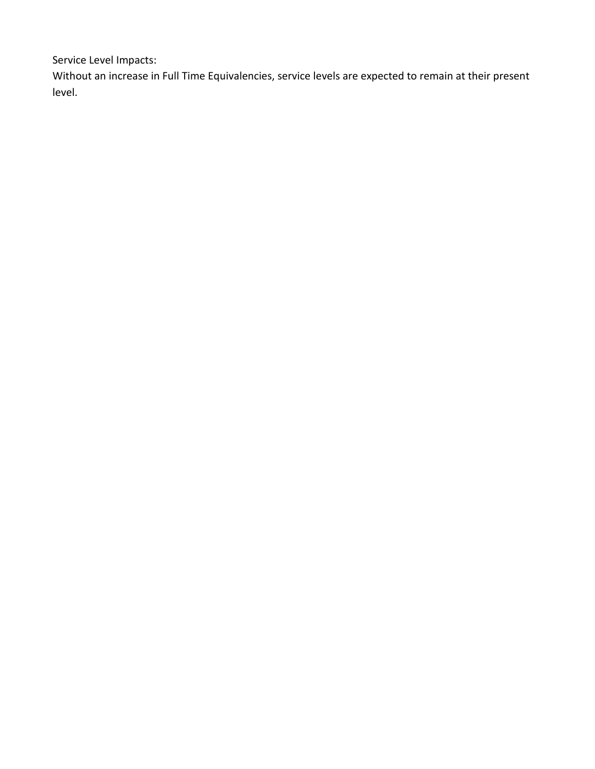Service Level Impacts:

Without an increase in Full Time Equivalencies, service levels are expected to remain at their present level.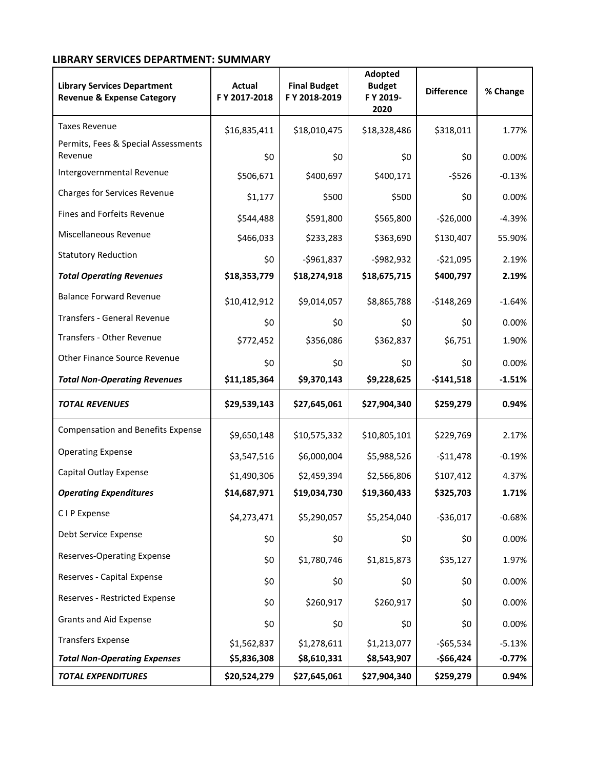#### **LIBRARY SERVICES DEPARTMENT: SUMMARY**

| <b>Library Services Department</b><br><b>Revenue &amp; Expense Category</b> | Actual<br>F Y 2017-2018 | <b>Final Budget</b><br>F Y 2018-2019 | Adopted<br><b>Budget</b><br>F Y 2019-<br>2020 | <b>Difference</b> | % Change |
|-----------------------------------------------------------------------------|-------------------------|--------------------------------------|-----------------------------------------------|-------------------|----------|
| <b>Taxes Revenue</b>                                                        | \$16,835,411            | \$18,010,475                         | \$18,328,486                                  | \$318,011         | 1.77%    |
| Permits, Fees & Special Assessments<br>Revenue                              | \$0                     | \$0                                  | \$0                                           | \$0               | 0.00%    |
| Intergovernmental Revenue                                                   | \$506,671               | \$400,697                            | \$400,171                                     | $-5526$           | $-0.13%$ |
| Charges for Services Revenue                                                | \$1,177                 | \$500                                | \$500                                         | \$0               | 0.00%    |
| Fines and Forfeits Revenue                                                  | \$544,488               | \$591,800                            | \$565,800                                     | $-$26,000$        | $-4.39%$ |
| Miscellaneous Revenue                                                       | \$466,033               | \$233,283                            | \$363,690                                     | \$130,407         | 55.90%   |
| <b>Statutory Reduction</b>                                                  | \$0                     | $-5961,837$                          | -\$982,932                                    | $-521,095$        | 2.19%    |
| <b>Total Operating Revenues</b>                                             | \$18,353,779            | \$18,274,918                         | \$18,675,715                                  | \$400,797         | 2.19%    |
| <b>Balance Forward Revenue</b>                                              | \$10,412,912            | \$9,014,057                          | \$8,865,788                                   | $-$148,269$       | $-1.64%$ |
| <b>Transfers - General Revenue</b>                                          | \$0                     | \$0                                  | \$0                                           | \$0               | 0.00%    |
| Transfers - Other Revenue                                                   | \$772,452               | \$356,086                            | \$362,837                                     | \$6,751           | 1.90%    |
| <b>Other Finance Source Revenue</b>                                         | \$0                     | \$0                                  | \$0                                           | \$0               | 0.00%    |
| <b>Total Non-Operating Revenues</b>                                         | \$11,185,364            | \$9,370,143                          | \$9,228,625                                   | $-$141,518$       | $-1.51%$ |
| <b>TOTAL REVENUES</b>                                                       | \$29,539,143            | \$27,645,061                         | \$27,904,340                                  | \$259,279         | 0.94%    |
| <b>Compensation and Benefits Expense</b>                                    | \$9,650,148             | \$10,575,332                         | \$10,805,101                                  | \$229,769         | 2.17%    |
| <b>Operating Expense</b>                                                    | \$3,547,516             | \$6,000,004                          | \$5,988,526                                   | $-511,478$        | $-0.19%$ |
| <b>Capital Outlay Expense</b>                                               | \$1,490,306             | \$2,459,394                          | \$2,566,806                                   | \$107,412         | 4.37%    |
| <b>Operating Expenditures</b>                                               | \$14,687,971            | \$19,034,730                         | \$19,360,433                                  | \$325,703         | 1.71%    |
| C I P Expense                                                               | \$4,273,471             | \$5,290,057                          | \$5,254,040                                   | $-$36,017$        | $-0.68%$ |
| Debt Service Expense                                                        | \$0                     | \$0                                  | \$0                                           | \$0               | 0.00%    |
| <b>Reserves-Operating Expense</b>                                           | \$0                     | \$1,780,746                          | \$1,815,873                                   | \$35,127          | 1.97%    |
| Reserves - Capital Expense                                                  | \$0                     | \$0                                  | \$0                                           | \$0               | 0.00%    |
| Reserves - Restricted Expense                                               | \$0                     | \$260,917                            | \$260,917                                     | \$0               | 0.00%    |
| Grants and Aid Expense                                                      | \$0                     | \$0                                  | \$0                                           | \$0               | 0.00%    |
| <b>Transfers Expense</b>                                                    | \$1,562,837             | \$1,278,611                          | \$1,213,077                                   | $-565,534$        | $-5.13%$ |
| <b>Total Non-Operating Expenses</b>                                         | \$5,836,308             | \$8,610,331                          | \$8,543,907                                   | $-$66,424$        | $-0.77%$ |
| <b>TOTAL EXPENDITURES</b>                                                   | \$20,524,279            | \$27,645,061                         | \$27,904,340                                  | \$259,279         | 0.94%    |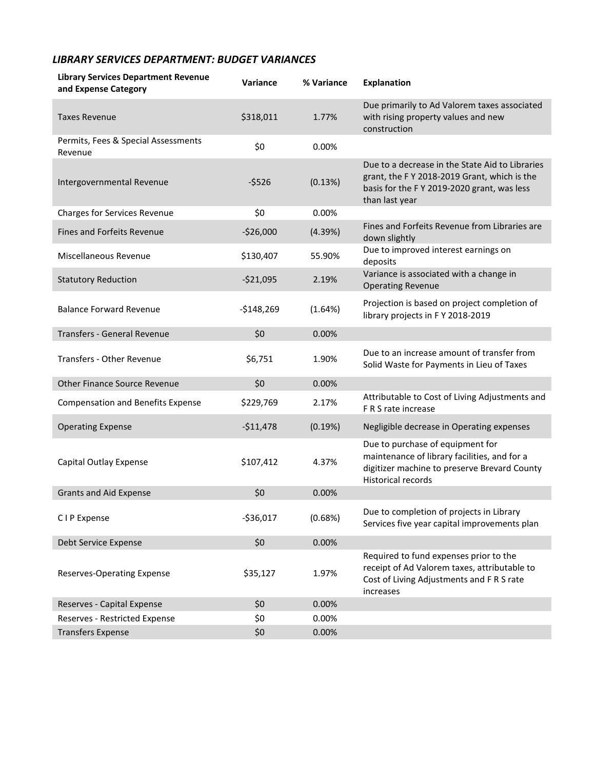## *LIBRARY SERVICES DEPARTMENT: BUDGET VARIANCES*

| <b>Library Services Department Revenue</b><br>and Expense Category | Variance    | % Variance | Explanation                                                                                                                                                     |
|--------------------------------------------------------------------|-------------|------------|-----------------------------------------------------------------------------------------------------------------------------------------------------------------|
| <b>Taxes Revenue</b>                                               | \$318,011   | 1.77%      | Due primarily to Ad Valorem taxes associated<br>with rising property values and new<br>construction                                                             |
| Permits, Fees & Special Assessments<br>Revenue                     | \$0         | 0.00%      |                                                                                                                                                                 |
| Intergovernmental Revenue                                          | $-5526$     | (0.13%)    | Due to a decrease in the State Aid to Libraries<br>grant, the FY 2018-2019 Grant, which is the<br>basis for the F Y 2019-2020 grant, was less<br>than last year |
| <b>Charges for Services Revenue</b>                                | \$0         | 0.00%      |                                                                                                                                                                 |
| <b>Fines and Forfeits Revenue</b>                                  | $-526,000$  | (4.39%)    | Fines and Forfeits Revenue from Libraries are<br>down slightly                                                                                                  |
| Miscellaneous Revenue                                              | \$130,407   | 55.90%     | Due to improved interest earnings on<br>deposits                                                                                                                |
| <b>Statutory Reduction</b>                                         | $-521,095$  | 2.19%      | Variance is associated with a change in<br><b>Operating Revenue</b>                                                                                             |
| <b>Balance Forward Revenue</b>                                     | $-$148,269$ | (1.64%)    | Projection is based on project completion of<br>library projects in FY 2018-2019                                                                                |
| <b>Transfers - General Revenue</b>                                 | \$0         | 0.00%      |                                                                                                                                                                 |
| Transfers - Other Revenue                                          | \$6,751     | 1.90%      | Due to an increase amount of transfer from<br>Solid Waste for Payments in Lieu of Taxes                                                                         |
| <b>Other Finance Source Revenue</b>                                | \$0         | 0.00%      |                                                                                                                                                                 |
| <b>Compensation and Benefits Expense</b>                           | \$229,769   | 2.17%      | Attributable to Cost of Living Adjustments and<br>F R S rate increase                                                                                           |
| <b>Operating Expense</b>                                           | $-511,478$  | (0.19%)    | Negligible decrease in Operating expenses                                                                                                                       |
| Capital Outlay Expense                                             | \$107,412   | 4.37%      | Due to purchase of equipment for<br>maintenance of library facilities, and for a<br>digitizer machine to preserve Brevard County<br><b>Historical records</b>   |
| <b>Grants and Aid Expense</b>                                      | \$0         | 0.00%      |                                                                                                                                                                 |
| C I P Expense                                                      | $-$36,017$  | (0.68%)    | Due to completion of projects in Library<br>Services five year capital improvements plan                                                                        |
| Debt Service Expense                                               | \$0         | 0.00%      |                                                                                                                                                                 |
| Reserves-Operating Expense                                         | \$35,127    | 1.97%      | Required to fund expenses prior to the<br>receipt of Ad Valorem taxes, attributable to<br>Cost of Living Adjustments and F R S rate<br>increases                |
| Reserves - Capital Expense                                         | \$0         | 0.00%      |                                                                                                                                                                 |
| Reserves - Restricted Expense                                      | \$0         | 0.00%      |                                                                                                                                                                 |
| <b>Transfers Expense</b>                                           | \$0         | 0.00%      |                                                                                                                                                                 |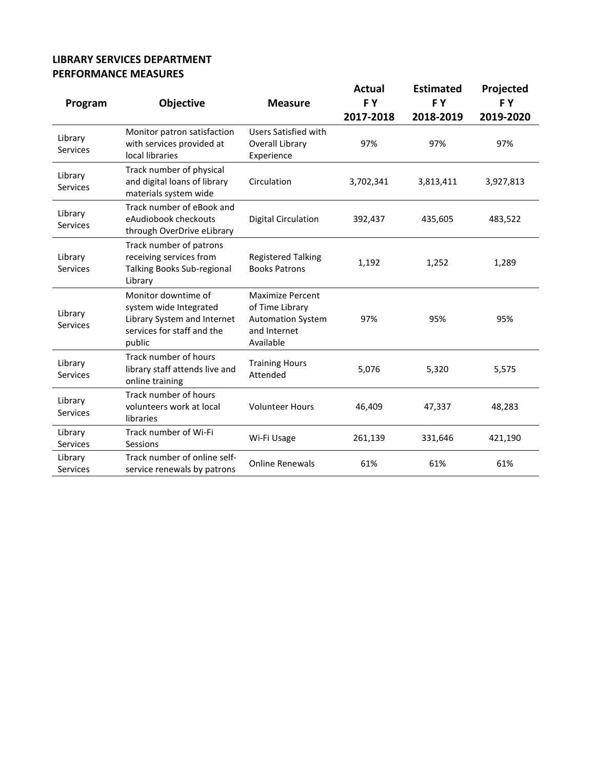# **LIBRARY SERVICES DEPARTMENT PERFORMANCE MEASURES**

| Program                    | <b>Objective</b>                                                                                                     | <b>Measure</b>                                                                                      | <b>Actual</b><br><b>FY</b> | <b>Estimated</b><br>FY | Projected<br>FY |
|----------------------------|----------------------------------------------------------------------------------------------------------------------|-----------------------------------------------------------------------------------------------------|----------------------------|------------------------|-----------------|
|                            |                                                                                                                      |                                                                                                     | 2017-2018                  | 2018-2019              | 2019-2020       |
| Library<br>Services        | Monitor patron satisfaction<br>with services provided at<br>local libraries                                          | <b>Users Satisfied with</b><br>Overall Library<br>Experience                                        | 97%                        | 97%                    | 97%             |
| Library<br>Services        | Track number of physical<br>and digital loans of library<br>materials system wide                                    | Circulation                                                                                         | 3,702,341                  | 3,813,411              | 3,927,813       |
| Library<br><b>Services</b> | Track number of eBook and<br>eAudiobook checkouts<br>through OverDrive eLibrary                                      | <b>Digital Circulation</b>                                                                          | 392,437                    | 435,605                | 483,522         |
| Library<br><b>Services</b> | Track number of patrons<br>receiving services from<br>Talking Books Sub-regional<br>Library                          | <b>Registered Talking</b><br><b>Books Patrons</b>                                                   | 1,192                      | 1,252                  | 1,289           |
| Library<br><b>Services</b> | Monitor downtime of<br>system wide Integrated<br>Library System and Internet<br>services for staff and the<br>public | <b>Maximize Percent</b><br>of Time Library<br><b>Automation System</b><br>and Internet<br>Available | 97%                        | 95%                    | 95%             |
| Library<br><b>Services</b> | Track number of hours<br>library staff attends live and<br>online training                                           | <b>Training Hours</b><br>Attended                                                                   | 5,076                      | 5,320                  | 5,575           |
| Library<br>Services        | Track number of hours<br>volunteers work at local<br>libraries                                                       | <b>Volunteer Hours</b>                                                                              | 46,409                     | 47,337                 | 48,283          |
| Library<br>Services        | Track number of Wi-Fi<br>Sessions                                                                                    | Wi-Fi Usage                                                                                         | 261,139                    | 331,646                | 421,190         |
| Library<br>Services        | Track number of online self-<br>service renewals by patrons                                                          | <b>Online Renewals</b>                                                                              | 61%                        | 61%                    | 61%             |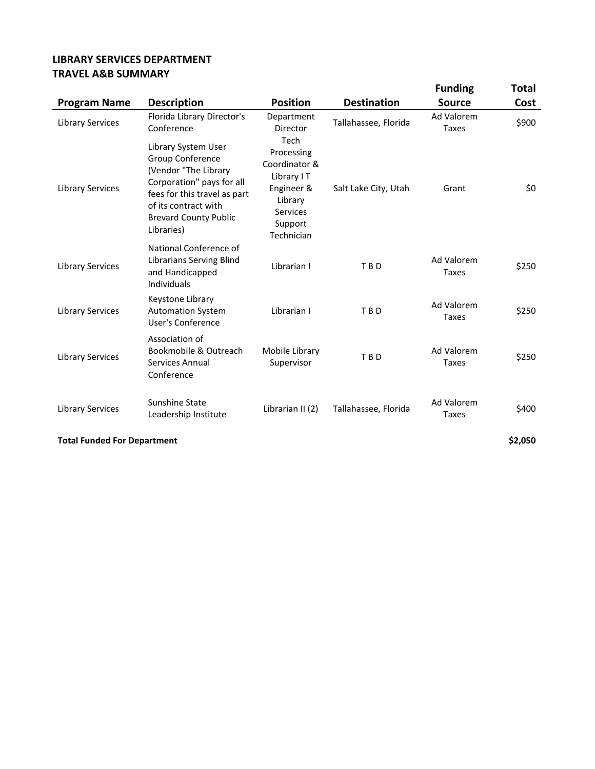## **LIBRARY SERVICES DEPARTMENT TRAVEL A&B SUMMARY**

|                                               |                                                                                                                                                                                                    |                                                                                                                         |                      | <b>Funding</b>             | <b>Total</b> |
|-----------------------------------------------|----------------------------------------------------------------------------------------------------------------------------------------------------------------------------------------------------|-------------------------------------------------------------------------------------------------------------------------|----------------------|----------------------------|--------------|
| <b>Program Name</b>                           | <b>Description</b>                                                                                                                                                                                 | <b>Position</b>                                                                                                         | <b>Destination</b>   | <b>Source</b>              | Cost         |
| <b>Library Services</b>                       | Florida Library Director's<br>Conference                                                                                                                                                           | Department<br>Director                                                                                                  | Tallahassee, Florida | Ad Valorem<br><b>Taxes</b> | \$900        |
| <b>Library Services</b>                       | Library System User<br>Group Conference<br>(Vendor "The Library<br>Corporation" pays for all<br>fees for this travel as part<br>of its contract with<br><b>Brevard County Public</b><br>Libraries) | Tech<br>Processing<br>Coordinator &<br>Library I T<br>Engineer &<br>Library<br><b>Services</b><br>Support<br>Technician | Salt Lake City, Utah | Grant                      | \$0          |
| <b>Library Services</b>                       | National Conference of<br><b>Librarians Serving Blind</b><br>and Handicapped<br>Individuals                                                                                                        | Librarian I                                                                                                             | <b>TBD</b>           | Ad Valorem<br><b>Taxes</b> | \$250        |
| <b>Library Services</b>                       | Keystone Library<br><b>Automation System</b><br>User's Conference                                                                                                                                  | Librarian I                                                                                                             | <b>TBD</b>           | Ad Valorem<br><b>Taxes</b> | \$250        |
| <b>Library Services</b>                       | Association of<br>Bookmobile & Outreach<br>Services Annual<br>Conference                                                                                                                           | Mobile Library<br>Supervisor                                                                                            | TBD                  | Ad Valorem<br><b>Taxes</b> | \$250        |
| <b>Library Services</b>                       | Sunshine State<br>Leadership Institute                                                                                                                                                             | Librarian II (2)                                                                                                        | Tallahassee, Florida | Ad Valorem<br><b>Taxes</b> | \$400        |
| \$2,050<br><b>Total Funded For Department</b> |                                                                                                                                                                                                    |                                                                                                                         |                      |                            |              |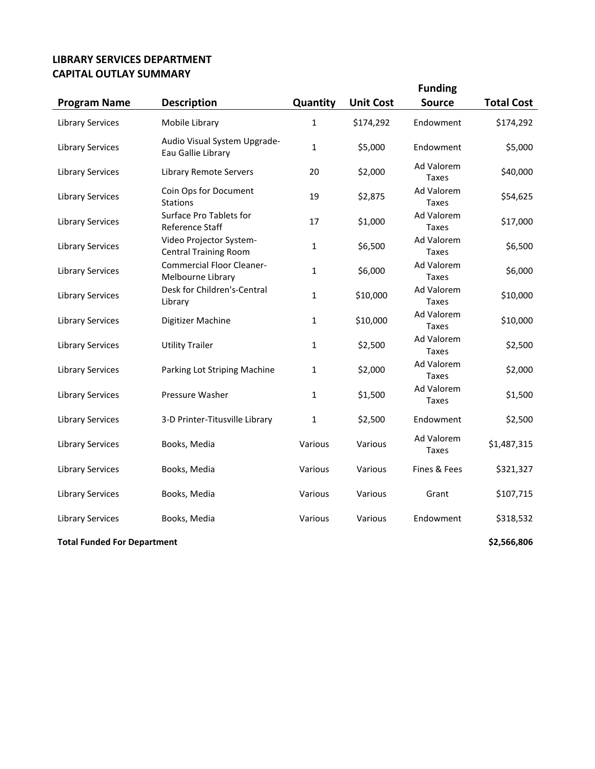# **LIBRARY SERVICES DEPARTMENT CAPITAL OUTLAY SUMMARY**

|                         |                                                         |              |                  | <b>Funding</b>             |                   |
|-------------------------|---------------------------------------------------------|--------------|------------------|----------------------------|-------------------|
| <b>Program Name</b>     | <b>Description</b>                                      | Quantity     | <b>Unit Cost</b> | <b>Source</b>              | <b>Total Cost</b> |
| <b>Library Services</b> | Mobile Library                                          | $\mathbf{1}$ | \$174,292        | Endowment                  | \$174,292         |
| <b>Library Services</b> | Audio Visual System Upgrade-<br>Eau Gallie Library      | $\mathbf 1$  | \$5,000          | Endowment                  | \$5,000           |
| <b>Library Services</b> | Library Remote Servers                                  | 20           | \$2,000          | Ad Valorem<br><b>Taxes</b> | \$40,000          |
| <b>Library Services</b> | Coin Ops for Document<br><b>Stations</b>                | 19           | \$2,875          | Ad Valorem<br><b>Taxes</b> | \$54,625          |
| <b>Library Services</b> | Surface Pro Tablets for<br>Reference Staff              | 17           | \$1,000          | Ad Valorem<br><b>Taxes</b> | \$17,000          |
| <b>Library Services</b> | Video Projector System-<br><b>Central Training Room</b> | $\mathbf{1}$ | \$6,500          | Ad Valorem<br>Taxes        | \$6,500           |
| <b>Library Services</b> | <b>Commercial Floor Cleaner-</b><br>Melbourne Library   | $\mathbf 1$  | \$6,000          | Ad Valorem<br><b>Taxes</b> | \$6,000           |
| <b>Library Services</b> | Desk for Children's-Central<br>Library                  | $\mathbf{1}$ | \$10,000         | Ad Valorem<br><b>Taxes</b> | \$10,000          |
| <b>Library Services</b> | Digitizer Machine                                       | $\mathbf 1$  | \$10,000         | Ad Valorem<br><b>Taxes</b> | \$10,000          |
| <b>Library Services</b> | <b>Utility Trailer</b>                                  | $\mathbf{1}$ | \$2,500          | Ad Valorem<br><b>Taxes</b> | \$2,500           |
| <b>Library Services</b> | Parking Lot Striping Machine                            | $\mathbf{1}$ | \$2,000          | Ad Valorem<br><b>Taxes</b> | \$2,000           |
| <b>Library Services</b> | Pressure Washer                                         | $\mathbf{1}$ | \$1,500          | Ad Valorem<br><b>Taxes</b> | \$1,500           |
| <b>Library Services</b> | 3-D Printer-Titusville Library                          | $\mathbf{1}$ | \$2,500          | Endowment                  | \$2,500           |
| <b>Library Services</b> | Books, Media                                            | Various      | Various          | Ad Valorem<br><b>Taxes</b> | \$1,487,315       |
| <b>Library Services</b> | Books, Media                                            | Various      | Various          | Fines & Fees               | \$321,327         |
| <b>Library Services</b> | Books, Media                                            | Various      | Various          | Grant                      | \$107,715         |
| <b>Library Services</b> | Books, Media                                            | Various      | Various          | Endowment                  | \$318,532         |
|                         | \$2,566,806<br><b>Total Funded For Department</b>       |              |                  |                            |                   |